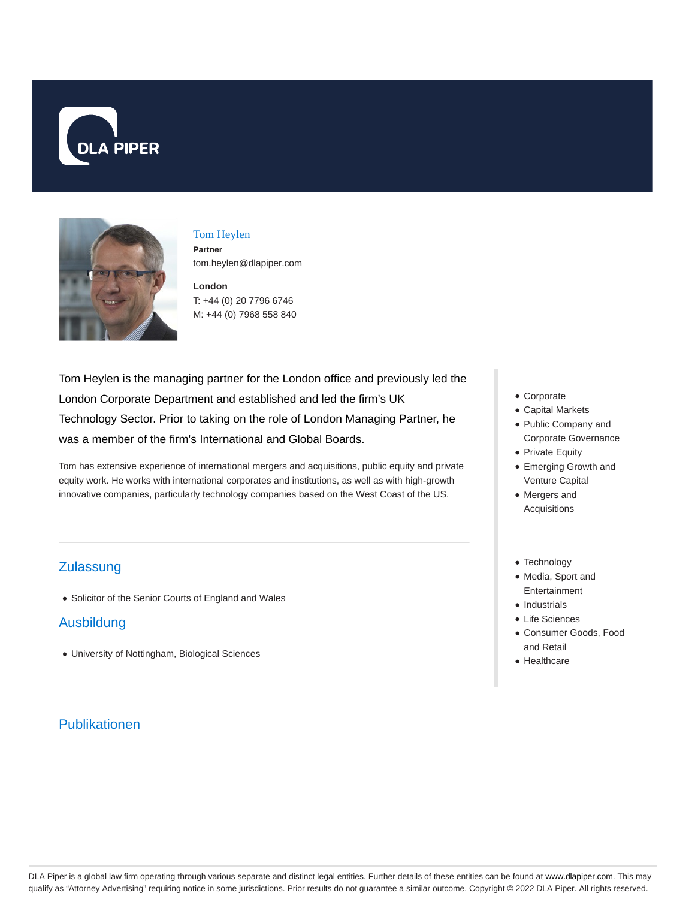



Tom Heylen **Partner** tom.heylen@dlapiper.com

**London** T: +44 (0) 20 7796 6746 M: +44 (0) 7968 558 840

Tom Heylen is the managing partner for the London office and previously led the London Corporate Department and established and led the firm's UK Technology Sector. Prior to taking on the role of London Managing Partner, he was a member of the firm's International and Global Boards.

Tom has extensive experience of international mergers and acquisitions, public equity and private equity work. He works with international corporates and institutions, as well as with high-growth innovative companies, particularly technology companies based on the West Coast of the US.

## **Zulassung**

Solicitor of the Senior Courts of England and Wales

## Ausbildung

University of Nottingham, Biological Sciences

# Publikationen

- Corporate
- Capital Markets
- Public Company and Corporate Governance
- Private Equity
- Emerging Growth and Venture Capital
- Mergers and Acquisitions
- Technology
- Media, Sport and Entertainment
- Industrials
- Life Sciences
- Consumer Goods, Food and Retail
- Healthcare